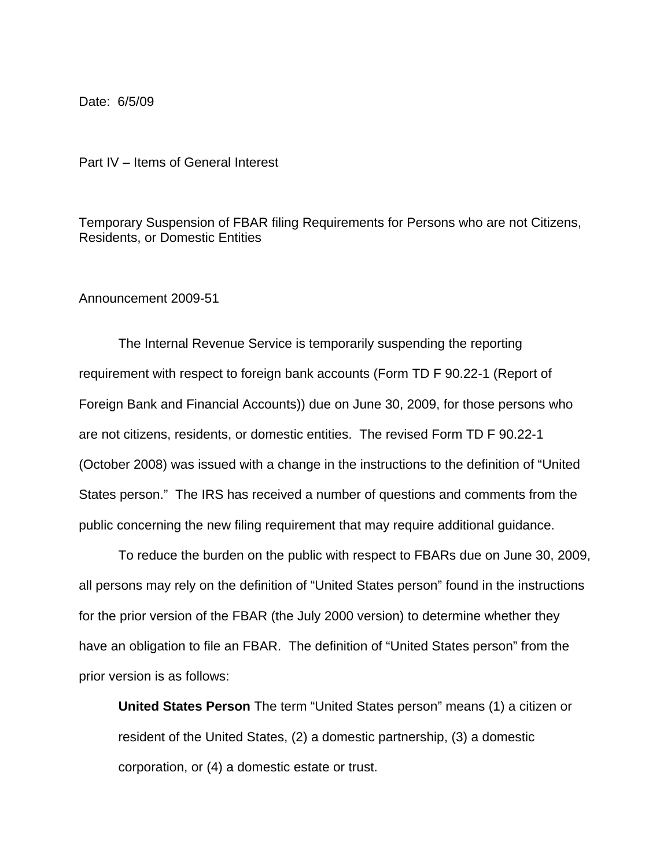Date: 6/5/09

Part IV – Items of General Interest

Temporary Suspension of FBAR filing Requirements for Persons who are not Citizens, Residents, or Domestic Entities

## Announcement 2009-51

The Internal Revenue Service is temporarily suspending the reporting requirement with respect to foreign bank accounts (Form TD F 90.22-1 (Report of Foreign Bank and Financial Accounts)) due on June 30, 2009, for those persons who are not citizens, residents, or domestic entities. The revised Form TD F 90.22-1 (October 2008) was issued with a change in the instructions to the definition of "United States person." The IRS has received a number of questions and comments from the public concerning the new filing requirement that may require additional guidance.

To reduce the burden on the public with respect to FBARs due on June 30, 2009, all persons may rely on the definition of "United States person" found in the instructions for the prior version of the FBAR (the July 2000 version) to determine whether they have an obligation to file an FBAR. The definition of "United States person" from the prior version is as follows:

**United States Person** The term "United States person" means (1) a citizen or resident of the United States, (2) a domestic partnership, (3) a domestic corporation, or (4) a domestic estate or trust.